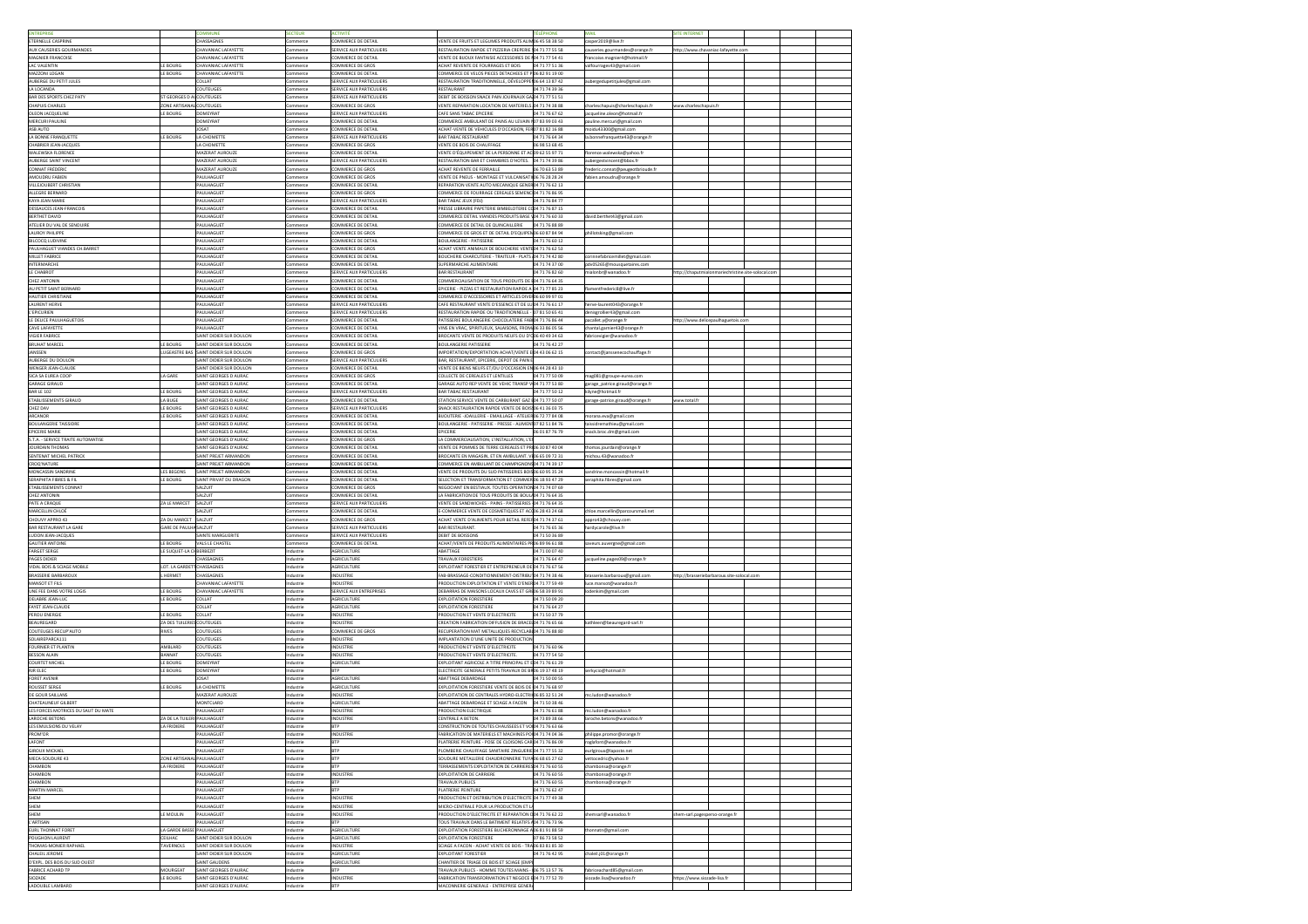| <b>ENTREPRISE</b>                                                                                                                                                                                                                                                                                                                                                                                                                                                                                                                                                                                                                                                                                                                                                                          |                             | <b>OMMUNE</b>                                                     | <b>SECTEUR</b>         | ACTIVITÉ                                       |                                                                                                                  | <b>TÉLÉPHONE</b>                 | <b>MAIL</b>                       | <b>SITE INTERNET</b>           |                                                    |  |  |
|--------------------------------------------------------------------------------------------------------------------------------------------------------------------------------------------------------------------------------------------------------------------------------------------------------------------------------------------------------------------------------------------------------------------------------------------------------------------------------------------------------------------------------------------------------------------------------------------------------------------------------------------------------------------------------------------------------------------------------------------------------------------------------------------|-----------------------------|-------------------------------------------------------------------|------------------------|------------------------------------------------|------------------------------------------------------------------------------------------------------------------|----------------------------------|-----------------------------------|--------------------------------|----------------------------------------------------|--|--|
| ETERNELLE CASPRINE                                                                                                                                                                                                                                                                                                                                                                                                                                                                                                                                                                                                                                                                                                                                                                         |                             | <b>HASSAGNES</b>                                                  | Commerce               | COMMERCE DE DETAIL                             | VENTE DE FRUITS ET LEGUMES PRODUITS ALIM 06 45 58 38 50                                                          |                                  | casper2019@live.fr                |                                |                                                    |  |  |
| <b>AUX CAUSERIES GOURMANDES</b>                                                                                                                                                                                                                                                                                                                                                                                                                                                                                                                                                                                                                                                                                                                                                            |                             | CHAVANIAC LAFAYETTE                                               | Commerce               | SERVICE AUX PARTICULIERS                       | RESTAURATION RAPIDE ET PIZZERIA CREPERIE 104 71 77 55 58                                                         |                                  | causeries.gourmandes@orange.fr    |                                | http://www.chavaniac-lafayette.com                 |  |  |
| <b>MAGNIER FRANCOISE</b>                                                                                                                                                                                                                                                                                                                                                                                                                                                                                                                                                                                                                                                                                                                                                                   |                             | <b>HAVANIAC LAFAYETTE</b>                                         | Commerce               | COMMERCE DE DETAIL                             | VENTE DE BIJOUX FANTAISIE ACCESSOIRES DE 104 71 77 54 41                                                         |                                  | francoise.magnier4@hotmail.fr     |                                |                                                    |  |  |
| <b>LAC VALENTIN</b>                                                                                                                                                                                                                                                                                                                                                                                                                                                                                                                                                                                                                                                                                                                                                                        | LE BOURG                    | CHAVANIAC LAFAYETTE                                               | Commerce               | COMMERCE DE GROS                               | ACHAT REVENTE DE FOURRAGES ET BOIS                                                                               | 04 71 77 51 36                   | valfourrages43@gmail.com          |                                |                                                    |  |  |
| MAZZONI LOGAN<br>AUBERGE DU PETIT JULES                                                                                                                                                                                                                                                                                                                                                                                                                                                                                                                                                                                                                                                                                                                                                    | LE BOURG                    | CHAVANIAC LAFAYETTE<br><b>COLLAT</b>                              | Commerce               | COMMERCE DE DETAIL<br>SERVICE AUX PARTICULIERS | COMMERCE DE VELOS PIECES DETACHEES ET PO6 82 91 19 00<br>RESTAURATION TRADITIONNELLE, DÉVELOPPEI 06 64 13 87 42  |                                  |                                   |                                |                                                    |  |  |
| LA LOCANDA                                                                                                                                                                                                                                                                                                                                                                                                                                                                                                                                                                                                                                                                                                                                                                                 |                             | COUTEUGES                                                         | Commerce<br>Commerce   | SERVICE AUX PARTICULIERS                       | RESTAURANT                                                                                                       | 04 71 74 39 36                   | aubergedupetitjules@gmail.com     |                                |                                                    |  |  |
| BAR DES SPORTS CHEZ PATY                                                                                                                                                                                                                                                                                                                                                                                                                                                                                                                                                                                                                                                                                                                                                                   | ST GEORGES D ALCOUTEUGES    |                                                                   | Commerce               | SERVICE AUX PARTICULIERS                       | DEBIT DE BOISSON SNACK PAIN JOURNAUX GA 04 71 77 51 51                                                           |                                  |                                   |                                |                                                    |  |  |
| <b>CHAPUIS CHARLES</b>                                                                                                                                                                                                                                                                                                                                                                                                                                                                                                                                                                                                                                                                                                                                                                     | ZONE ARTISANAL COUTEUGES    |                                                                   | Commerce               | COMMERCE DE GROS                               | VENTE REPARATION LOCATION DE MATERIELS 04 71 74 38 88                                                            |                                  | charleschapuis@charleschapuis.fr  | www.charleschapuis.fr          |                                                    |  |  |
| <b>OLEON JACQUELINE</b>                                                                                                                                                                                                                                                                                                                                                                                                                                                                                                                                                                                                                                                                                                                                                                    | LE BOURG                    | DOMEYRAT                                                          | Commerce               | SERVICE AUX PARTICULIERS                       | CAFE SANS TABAC EPICERIE                                                                                         | 04 71 76 67 62                   | jacqueline.oleon@hotmail.fr       |                                |                                                    |  |  |
| <b>MERCURI PAULINE</b>                                                                                                                                                                                                                                                                                                                                                                                                                                                                                                                                                                                                                                                                                                                                                                     |                             | DOMEYRAT                                                          | Commerce               | COMMERCE DE DETAIL                             | COMMERCE AMBULANT DE PAINS AU LEVAIN 107 83 99 03 43                                                             |                                  | pauline.mercuri@gmail.com         |                                |                                                    |  |  |
| ASB AUTO                                                                                                                                                                                                                                                                                                                                                                                                                                                                                                                                                                                                                                                                                                                                                                                   |                             | <b>TAZOL</b>                                                      | Commerce               | <b>COMMERCE DE DETAIL</b>                      | ACHAT-VENTE DE VEHICULES D'OCCASION, FERO7 81 82 16 88                                                           |                                  | moidu43300@gmail.com              |                                |                                                    |  |  |
| LA BONNE FRANQUETTE                                                                                                                                                                                                                                                                                                                                                                                                                                                                                                                                                                                                                                                                                                                                                                        | LE BOURG                    | A CHOMETTE                                                        | Commerce               | SERVICE AUX PARTICULIERS                       | <b>BAR TABAC RESTAURANT</b>                                                                                      | 04 71 76 64 34                   | la.bonnefranquette43@orange.fr    |                                |                                                    |  |  |
| <b>CHABRIER JEAN-JACQUES</b>                                                                                                                                                                                                                                                                                                                                                                                                                                                                                                                                                                                                                                                                                                                                                               |                             | A CHOMETTE                                                        | Commerce               | COMMERCE DE GROS                               | VENTE DE BOIS DE CHAUFFAGE                                                                                       | 06 98 53 68 45                   |                                   |                                |                                                    |  |  |
| <b>WALEWSKA FLORENCE</b>                                                                                                                                                                                                                                                                                                                                                                                                                                                                                                                                                                                                                                                                                                                                                                   |                             | <b>MAZERAT AUROUZE</b>                                            | Commerce               | COMMERCE DE DETAIL                             | VENTE D'ÉQUIPEMENT DE LA PERSONNE ET AC 09 62 55 97 71                                                           |                                  | florence.walewska@yahoo.fr        |                                |                                                    |  |  |
| <b>AUBERGE SAINT VINCENT</b>                                                                                                                                                                                                                                                                                                                                                                                                                                                                                                                                                                                                                                                                                                                                                               |                             | MAZERAT AUROUZE                                                   | Commerce               | SERVICE AUX PARTICULIERS                       | RESTAURATION BAR ET CHAMBRES D'HOTES. 04 71 74 39 86                                                             |                                  | aubergestvincent@bbox.fr          |                                |                                                    |  |  |
| <b>CONNAT FRÉDÉRIC</b>                                                                                                                                                                                                                                                                                                                                                                                                                                                                                                                                                                                                                                                                                                                                                                     |                             | <b>MAZERAT AUROUZE</b>                                            | Commerce               | COMMERCE DE GROS                               | ACHAT REVENTE DE FERRAILLE                                                                                       | 06 70 63 53 89                   | frederic.connat@peugeotbrioude.fr |                                |                                                    |  |  |
| AMOUDRU FABIEN                                                                                                                                                                                                                                                                                                                                                                                                                                                                                                                                                                                                                                                                                                                                                                             |                             | <b>PAULHAGUET</b>                                                 | Commerce               | COMMERCE DE GROS                               | VENTE DE PNEUS - MONTAGE ET VULCANISATIO6 76 28 28 24                                                            |                                  | fabien.amoudru@orange.fr          |                                |                                                    |  |  |
| VILLEJOUBERT CHRISTIAN                                                                                                                                                                                                                                                                                                                                                                                                                                                                                                                                                                                                                                                                                                                                                                     |                             | PAULHAGUET                                                        | Commerce               | COMMERCE DE DETAIL                             | REPARATION VENTE AUTO MECANIQUE GENER 04 71 76 62 13                                                             |                                  |                                   |                                |                                                    |  |  |
| ALLEGRE BERNARD                                                                                                                                                                                                                                                                                                                                                                                                                                                                                                                                                                                                                                                                                                                                                                            |                             | <b>AULHAGUET</b><br><b>PAULHAGUET</b>                             | Commerce               | COMMERCE DE GROS<br>SERVICE AUX PARTICULIERS   | COMMERCE DE FOURRAGE CEREALES SEMENC 04 71 76 86 95<br><b>BAR TABAC JEUX (FDJ)</b>                               | 04 71 76 84 77                   |                                   |                                |                                                    |  |  |
| KAYA JEAN MARIE<br>DESSAUCES JEAN-FRANCOIS                                                                                                                                                                                                                                                                                                                                                                                                                                                                                                                                                                                                                                                                                                                                                 |                             | <b>AULHAGUET</b>                                                  | Commerce<br>Commerce   | COMMERCE DE DETAIL                             | PRESSE LIBRAIRIE PAPETERIE BIMBELOTERIE CO04 71 76 87 15                                                         |                                  |                                   |                                |                                                    |  |  |
| <b>BERTHET DAVID</b>                                                                                                                                                                                                                                                                                                                                                                                                                                                                                                                                                                                                                                                                                                                                                                       |                             | <b>PAULHAGUET</b>                                                 | Commerce               | COMMERCE DE DETAIL                             | COMMERCE DETAIL VIANDES PRODUITS BASE \04 71 76 60 33                                                            |                                  | david.berthet43@gmail.com         |                                |                                                    |  |  |
| ATELIER DU VAL DE SENOUIRE                                                                                                                                                                                                                                                                                                                                                                                                                                                                                                                                                                                                                                                                                                                                                                 |                             | PAULHAGUET                                                        | Commerce               | COMMERCE DE DETAIL                             | COMMERCE DE DETAIL DE QUINCAILLERIE                                                                              | 04 71 76 88 89                   |                                   |                                |                                                    |  |  |
| <b>LAUROY PHILIPPE</b>                                                                                                                                                                                                                                                                                                                                                                                                                                                                                                                                                                                                                                                                                                                                                                     |                             | PAULHAGUET                                                        | Commerce               | COMMERCE DE GROS                               | COMMERCE DE GROS ET DE DETAIL D'EQUIPEN 06 60 87 84 94                                                           |                                  | phillotsking@gmail.com            |                                |                                                    |  |  |
| BILCOCQ LUDIVINE                                                                                                                                                                                                                                                                                                                                                                                                                                                                                                                                                                                                                                                                                                                                                                           |                             | PAULHAGUET                                                        | Commerce               | COMMERCE DE DETAIL                             | <b>BOULANGERIE - PATISSERIE</b>                                                                                  | 04 71 76 60 12                   |                                   |                                |                                                    |  |  |
| PAULHAGUET VIANDES CH. BARRET                                                                                                                                                                                                                                                                                                                                                                                                                                                                                                                                                                                                                                                                                                                                                              |                             | <b>AULHAGUET</b>                                                  | Commerce               | COMMERCE DE GROS                               | ACHAT VENTE ANIMAUX DE BOUCHERIE VENTE 04 71 76 62 53                                                            |                                  |                                   |                                |                                                    |  |  |
| MILLET FABRICE                                                                                                                                                                                                                                                                                                                                                                                                                                                                                                                                                                                                                                                                                                                                                                             |                             | PAULHAGUET                                                        | Commerce               | <b>COMMERCE DE DETAIL</b>                      | BOUCHERIE CHARCUTERIE - TRAITEUR - PLATS 04 71 74 42 80                                                          |                                  | corinnefabricemillet@gmail.com    |                                |                                                    |  |  |
| <b>INTERMARCHE</b>                                                                                                                                                                                                                                                                                                                                                                                                                                                                                                                                                                                                                                                                                                                                                                         |                             | AULHAGUET                                                         | Commerce               | COMMERCE DE DETAIL                             | SUPERMARCHE ALIMENTAIRE                                                                                          | 04 71 74 37 00                   | pdv05265@mousquetaires.com        |                                |                                                    |  |  |
| LE CHABROT                                                                                                                                                                                                                                                                                                                                                                                                                                                                                                                                                                                                                                                                                                                                                                                 |                             | PAULHAGUET                                                        | Commerce               | SERVICE AUX PARTICULIERS                       | <b>BAR RESTAURANT</b>                                                                                            | 04 71 76 82 60                   | mialonbr@wanadoo.fr               |                                | http://chaputmialonmariechristine.site-solocal.com |  |  |
| <b>CHEZ ANTONIN</b>                                                                                                                                                                                                                                                                                                                                                                                                                                                                                                                                                                                                                                                                                                                                                                        |                             | PAULHAGUET                                                        | Commerce               | COMMERCE DE DETAIL                             | COMMERCIALISATION DE TOUS PRODUITS DE 104 71 76 64 35                                                            |                                  |                                   |                                |                                                    |  |  |
| AU PETIT SAINT BERNARD                                                                                                                                                                                                                                                                                                                                                                                                                                                                                                                                                                                                                                                                                                                                                                     |                             | PAULHAGUET                                                        | Commerce               | COMMERCE DE DETAIL                             | EPICERIE - PIZZAS ET RESTAURATION RAPIDE A 04 71 77 85 23                                                        |                                  | flamentfrederic8@live.fr          |                                |                                                    |  |  |
| <b>HAUTIER CHRISTIANE</b>                                                                                                                                                                                                                                                                                                                                                                                                                                                                                                                                                                                                                                                                                                                                                                  |                             | PAULHAGUET                                                        | Commerce               | COMMERCE DE DETAIL                             | COMMERCE D'ACCESSOIRES ET ARTICLES DIVEI 06 60 99 97 01                                                          |                                  |                                   |                                |                                                    |  |  |
| LAURENT HERVE                                                                                                                                                                                                                                                                                                                                                                                                                                                                                                                                                                                                                                                                                                                                                                              |                             | <b>AULHAGUET</b>                                                  | Commerce               | SERVICE AUX PARTICULIERS                       | CAFE RESTAURANT VENTE D'ESSENCE ET DE LU 04 71 76 61 17                                                          |                                  | herve-laurent043@orange.fr        |                                |                                                    |  |  |
| L'EPICURIEN                                                                                                                                                                                                                                                                                                                                                                                                                                                                                                                                                                                                                                                                                                                                                                                |                             | PAULHAGUET                                                        | Commerce               | SERVICE AUX PARTICULIERS                       | RESTAURATION RAPIDE OU TRADITIONNELLE - 07 81 50 65 41                                                           |                                  | denisgrollier43@gmail.com         |                                |                                                    |  |  |
| LE DELICE PAULHAGUETOIS                                                                                                                                                                                                                                                                                                                                                                                                                                                                                                                                                                                                                                                                                                                                                                    |                             | <b>AULHAGUET</b>                                                  | Commerce               | COMMERCE DE DETAIL                             | PATISSERIE BOULANGERIE CHOCOLATERIE FAB 04 71 76 86 44                                                           |                                  | pacallet.y@orange.fr              |                                | http://www.delicepaulhaguetois.com                 |  |  |
| <b>CAVE LAFAYETTE</b>                                                                                                                                                                                                                                                                                                                                                                                                                                                                                                                                                                                                                                                                                                                                                                      |                             | PAULHAGUET                                                        | Commerce               | COMMERCE DE DETAIL                             | VINS EN VRAC, SPIRITUEUX, SALAISONS, FROM 06 33 86 05 56                                                         |                                  | chantal.garnier43@orange.fr       |                                |                                                    |  |  |
| <b>VIGIER FABRICE</b>                                                                                                                                                                                                                                                                                                                                                                                                                                                                                                                                                                                                                                                                                                                                                                      |                             | SAINT DIDIER SUR DOULON                                           | Commerce               | COMMERCE DE DETAIL                             | BROCANTE VENTE DE PRODUITS NEUFS OU D'O 06 40 49 34 63<br>BOULANGERIE PATISSERIE                                 |                                  | fabricevigier@wanadoo.fr          |                                |                                                    |  |  |
| <b>BRUHAT MARCEL</b><br>JANSSEN                                                                                                                                                                                                                                                                                                                                                                                                                                                                                                                                                                                                                                                                                                                                                            | LE BOURG                    | SAINT DIDIER SUR DOULON<br>LUGEASTRE BAS SSAINT DIDIER SUR DOULON | Commerce<br>Commerce   | COMMERCE DE DETAIL<br>COMMERCE DE GROS         | IMPORTATION/EXPORTATION ACHAT/VENTE E 04 43 06 62 15                                                             | 04 71 76 42 27                   | contact@janssenecochauffage.fr    |                                |                                                    |  |  |
| <b>AUBERGE DU DOULON</b>                                                                                                                                                                                                                                                                                                                                                                                                                                                                                                                                                                                                                                                                                                                                                                   |                             | SAINT DIDIER SUR DOULON                                           | Commerce               | SERVICE AUX PARTICULIERS                       | BAR, RESTAURANT, EPICERIE, DEPOT DE PAIN E                                                                       |                                  |                                   |                                |                                                    |  |  |
| <b>WENGER JEAN-CLAUDE</b>                                                                                                                                                                                                                                                                                                                                                                                                                                                                                                                                                                                                                                                                                                                                                                  |                             | SAINT DIDIER SUR DOULON                                           | Commerce               | COMMERCE DE DETAIL                             | VENTE DE BIENS NEUFS ET/OU D'OCCASION EN 06 44 28 43 10                                                          |                                  |                                   |                                |                                                    |  |  |
| SICA SA EUREA COOP                                                                                                                                                                                                                                                                                                                                                                                                                                                                                                                                                                                                                                                                                                                                                                         | LA GARE                     | SAINT GEORGES D AURAC                                             | Commerce               | COMMERCE DE GROS                               | COLLECTE DE CEREALES ET LENTILLES                                                                                | 04 71 77 50 09                   | mag081@groupe-eurea.com           |                                |                                                    |  |  |
| <b>GARAGE GIRAUD</b>                                                                                                                                                                                                                                                                                                                                                                                                                                                                                                                                                                                                                                                                                                                                                                       |                             | SAINT GEORGES D AURAC                                             | Commerce               | COMMERCE DE DETAIL                             | GARAGE AUTO REP VENTE DE VEHIC TRANSP V 04 71 77 53 80                                                           |                                  | garage_patrice.giraud@orange.fr   |                                |                                                    |  |  |
| <b>BAR LE 102</b>                                                                                                                                                                                                                                                                                                                                                                                                                                                                                                                                                                                                                                                                                                                                                                          | LE BOURG                    | SAINT GEORGES D AURAC                                             | Commerce               | SERVICE AUX PARTICULIERS                       | <b>BAR TABAC RESTAURANT</b>                                                                                      | 04 71 77 50 12                   | kilyne@hotmail.fr                 |                                |                                                    |  |  |
| <b>ETABLISSEMENTS GIRAUD</b>                                                                                                                                                                                                                                                                                                                                                                                                                                                                                                                                                                                                                                                                                                                                                               | LA BUGE                     | SAINT GEORGES D AURAC                                             | Commerce               | COMMERCE DE DETAIL                             | STATION SERVICE VENTE DE CARBURANT GAZ 104 71 77 50 07                                                           |                                  | garage-patrice.giraud@orange.fr   | www.total.fr                   |                                                    |  |  |
| <b>CHEZ DAV</b>                                                                                                                                                                                                                                                                                                                                                                                                                                                                                                                                                                                                                                                                                                                                                                            | LE BOURG                    | SAINT GEORGES D AURAC                                             | Commerce               | SERVICE AUX PARTICULIERS                       | SNACK RESTAURATION RAPIDE VENTE DE BOIS 06 41 36 03 75                                                           |                                  |                                   |                                |                                                    |  |  |
| ARCANOR                                                                                                                                                                                                                                                                                                                                                                                                                                                                                                                                                                                                                                                                                                                                                                                    | LE BOURG                    | SAINT GEORGES D AURAC                                             | Commerce               | COMMERCE DE DETAIL                             | BIJOUTERIE - JOAILLERIE - EMAILLAGE - ATELIER 06 72 77 84 08                                                     |                                  | morana.eva@gmail.com              |                                |                                                    |  |  |
| <b>BOULANGERIE TAISSIDRE</b>                                                                                                                                                                                                                                                                                                                                                                                                                                                                                                                                                                                                                                                                                                                                                               |                             | SAINT GEORGES D AURAC                                             | Commerce               | COMMERCE DE DETAIL                             | BOULANGERIE - PATISSERIE - PRESSE - ALIMEN 07 82 51 84 76                                                        |                                  | taissidremathieu@gmail.com        |                                |                                                    |  |  |
| <b>EPICERIE MARIE</b>                                                                                                                                                                                                                                                                                                                                                                                                                                                                                                                                                                                                                                                                                                                                                                      |                             | SAINT GEORGES D AURAC                                             | Commerce               | COMMERCE DE DETAIL                             | <b>EPICERIE</b>                                                                                                  | 06 01 87 76 79                   | snack.broc.dm@gmail.com           |                                |                                                    |  |  |
| S.T.A. - SERVICE TRAITE AUTOMATISE                                                                                                                                                                                                                                                                                                                                                                                                                                                                                                                                                                                                                                                                                                                                                         |                             | SAINT GEORGES D'AURAC                                             | Commerce               | COMMERCE DE GROS                               | LA COMMERCIALISATION, L'INSTALLATION, L'I                                                                        |                                  |                                   |                                |                                                    |  |  |
| JOURDAIN THOMAS                                                                                                                                                                                                                                                                                                                                                                                                                                                                                                                                                                                                                                                                                                                                                                            |                             | SAINT GEORGES D'AURAC                                             | Commerce               | COMMERCE DE DETAIL                             | VENTE DE POMMES DE TERRE CEREALES ET PR 06 30 87 40 04                                                           |                                  | thomas.jourdain@orange.fr         |                                |                                                    |  |  |
| SENTENAT MICHEL PATRICK                                                                                                                                                                                                                                                                                                                                                                                                                                                                                                                                                                                                                                                                                                                                                                    |                             | AINT PREJET ARMANDON                                              | Commerce               | COMMERCE DE DETAIL                             | BROCANTE EN MAGASIN, ET EN AMBULANT. V 06 65 09 72 31                                                            |                                  | michou.43@wanadoo.fr              |                                |                                                    |  |  |
| CROQ'NATURE                                                                                                                                                                                                                                                                                                                                                                                                                                                                                                                                                                                                                                                                                                                                                                                |                             | SAINT PREJET ARMANDON                                             | Commerce               | COMMERCE DE DETAIL                             | COMMERCE EN AMBULANT DE CHAMPIGNONS 04 71 74 39 17                                                               |                                  |                                   |                                |                                                    |  |  |
| MONCASSIN SANDRINE                                                                                                                                                                                                                                                                                                                                                                                                                                                                                                                                                                                                                                                                                                                                                                         | LES BEGONS                  | SAINT PREJET ARMANDON                                             | Commerce               | COMMERCE DE DETAIL                             | VENTE DE PRODUITS DU SUD PATISSERIES BOIS 06 60 95 35 24                                                         |                                  | sandrine.moncassin@hotmail.fr     |                                |                                                    |  |  |
| <b>SERAPHITA FIBRES &amp; FIL</b>                                                                                                                                                                                                                                                                                                                                                                                                                                                                                                                                                                                                                                                                                                                                                          | LE BOURG                    | SAINT PRIVAT DU DRAGON                                            | Commerce               | COMMERCE DE DETAIL                             | SELECTION ET TRANSFORMATION ET COMMER 06 18 93 47 29                                                             |                                  | seraphita.fibres@gmail.com        |                                |                                                    |  |  |
| ETABLISSEMENTS CONNAT<br><b>CHEZ ANTONIN</b>                                                                                                                                                                                                                                                                                                                                                                                                                                                                                                                                                                                                                                                                                                                                               |                             | SALZUIT<br>SALZUIT                                                | Commerce<br>Commerce   | COMMERCE DE GROS<br>COMMERCE DE DETAIL         | NEGOCIANT EN BESTIAUX. TOUTES OPERATION 04 71 74 07 69<br>LA FABRICATION DE TOUS PRODUITS DE BOUL404 71 76 64 35 |                                  |                                   |                                |                                                    |  |  |
| PATE A CRAQUE                                                                                                                                                                                                                                                                                                                                                                                                                                                                                                                                                                                                                                                                                                                                                                              | ZA LE MARCET                | SALZUIT                                                           | Commerce               | SERVICE AUX PARTICULIERS                       | VENTE DE SANDWICHES - PAINS - PATISSERIES 104 71 76 64 35                                                        |                                  |                                   |                                |                                                    |  |  |
| MARCELLIN CHLOÉ                                                                                                                                                                                                                                                                                                                                                                                                                                                                                                                                                                                                                                                                                                                                                                            |                             | <b>ALZUIT</b>                                                     | Commerce               | COMMERCE DE DETAIL                             | E-COMMERCE VENTE DE COSMETIQUES ET ACC06 28 43 24 68                                                             |                                  | chloe.marcellin@parcoursmail.net  |                                |                                                    |  |  |
| CHOUVY APPRO 43                                                                                                                                                                                                                                                                                                                                                                                                                                                                                                                                                                                                                                                                                                                                                                            | ZA DU MARCET SALZUIT        |                                                                   | Commerce               | COMMERCE DE GROS                               | ACHAT VENTE D'ALIMENTS POUR BETAIL REFEI 04 71 74 37 61                                                          |                                  | appro43@chouvy.com                |                                |                                                    |  |  |
| <b>BAR RESTAURANT LA GARE</b>                                                                                                                                                                                                                                                                                                                                                                                                                                                                                                                                                                                                                                                                                                                                                              | GARE DE PAULHA SALZUIT      |                                                                   | Commerce               | SERVICE AUX PARTICULIERS                       | BAR RESTAURANT.                                                                                                  | 04 71 76 65 36                   | hardycarole@live.fr               |                                |                                                    |  |  |
| LUDON JEAN-JACQUES                                                                                                                                                                                                                                                                                                                                                                                                                                                                                                                                                                                                                                                                                                                                                                         |                             | SAINTE MARGUERITE                                                 | Commerce               | SERVICE AUX PARTICULIERS                       | <b>DEBIT DE BOISSONS</b>                                                                                         | 04 71 50 36 89                   |                                   |                                |                                                    |  |  |
| <b>GAUTIER ANTOINE</b>                                                                                                                                                                                                                                                                                                                                                                                                                                                                                                                                                                                                                                                                                                                                                                     | LE BOURG                    | <b>VALS LE CHASTEL</b>                                            | Commerce               | COMMERCE DE DETAIL                             | ACHAT/VENTE DE PRODUITS ALIMENTAIRES PR 06 89 96 61 88                                                           |                                  | saveurs.auvergne@gmail.com        |                                |                                                    |  |  |
| <b>FARGET SERGE</b>                                                                                                                                                                                                                                                                                                                                                                                                                                                                                                                                                                                                                                                                                                                                                                        | LE SUQUET-LA CHBERBEZIT     |                                                                   | Industrie              | AGRICULTURE                                    | ABATTAGE                                                                                                         | 04 71 00 07 40                   |                                   |                                |                                                    |  |  |
| <b>PAGES DIDIER</b>                                                                                                                                                                                                                                                                                                                                                                                                                                                                                                                                                                                                                                                                                                                                                                        |                             | CHASSAGNES                                                        | Industrie              | <b>AGRICULTURE</b>                             | <b>TRAVAUX FORESTIERS</b>                                                                                        | 04 71 76 64 47                   | jacqueline.pages09@orange.fr      |                                |                                                    |  |  |
| VIDAL BOIS & SCIAGE MOBILE                                                                                                                                                                                                                                                                                                                                                                                                                                                                                                                                                                                                                                                                                                                                                                 | LOT. LA GARDETT CHASSAGNES  |                                                                   | Industrie              | <b>AGRICULTURE</b>                             | EXPLOITANT FORESTIER ET ENTREPRENEUR DE 04 71 76 67 56                                                           |                                  |                                   |                                |                                                    |  |  |
| <b>BRASSERIE BARBAROUX</b>                                                                                                                                                                                                                                                                                                                                                                                                                                                                                                                                                                                                                                                                                                                                                                 | .HERMET                     | CHASSAGNES                                                        | Industrie              | <b>INDUSTRIE</b>                               | FAB-BRASSAGE-CONDITIONNEMENT-DISTRIBU 04 71 74 38 46                                                             |                                  |                                   |                                |                                                    |  |  |
| <b>MANSOT ET FILS</b>                                                                                                                                                                                                                                                                                                                                                                                                                                                                                                                                                                                                                                                                                                                                                                      |                             |                                                                   |                        |                                                |                                                                                                                  |                                  | brasserie.barbaroux@gmail.com     |                                | http://brasseriebarbaroux.site-solocal.com         |  |  |
| UNE FEE DANS VOTRE LOGIS                                                                                                                                                                                                                                                                                                                                                                                                                                                                                                                                                                                                                                                                                                                                                                   |                             | CHAVANIAC LAFAYETTE                                               | Industrie              | <b>INDUSTRIE</b>                               | PRODUCTION EXPLOITATION ET VENTE D'ENER 04 71 77 59 49                                                           |                                  | luce.mansot@wanadoo.fr            |                                |                                                    |  |  |
|                                                                                                                                                                                                                                                                                                                                                                                                                                                                                                                                                                                                                                                                                                                                                                                            | LE BOURG                    | <b>HAVANIAC LAFAYETTE</b>                                         | Industrie              | SERVICE AUX ENTREPRISES                        | DEBARRAS DE MAISONS LOCAUX CAVES ET GRI 06 58 39 89 91                                                           |                                  | lodenkim@gmail.com                |                                |                                                    |  |  |
|                                                                                                                                                                                                                                                                                                                                                                                                                                                                                                                                                                                                                                                                                                                                                                                            | LE BOURG                    | COLLAT                                                            | Industrie              | <b>AGRICULTURE</b>                             | <b>EXPLOITATION FORESTIERE</b>                                                                                   | 04 71 50 09 20                   |                                   |                                |                                                    |  |  |
|                                                                                                                                                                                                                                                                                                                                                                                                                                                                                                                                                                                                                                                                                                                                                                                            |                             | <b>COLLAT</b>                                                     | Industrie              | <b>AGRICULTURE</b>                             | <b>EXPLOITATION FORESTIERE</b>                                                                                   | 04 71 76 64 27                   |                                   |                                |                                                    |  |  |
|                                                                                                                                                                                                                                                                                                                                                                                                                                                                                                                                                                                                                                                                                                                                                                                            | LE BOURG                    | <b>COLLAT</b>                                                     | Industrie              | <b>INDUSTRIE</b>                               | PRODUCTION ET VENTE D'ELECTRICITE                                                                                | 04 71 50 37 79                   |                                   |                                |                                                    |  |  |
|                                                                                                                                                                                                                                                                                                                                                                                                                                                                                                                                                                                                                                                                                                                                                                                            | ZA DES TUILERIES COUTEUGES  |                                                                   | Industrie              | <b>INDUSTRIE</b>                               | CREATION FABRICATION DIFFUSION DE BRACEL 04 71 76 65 66                                                          |                                  | kathleen@beauregard-sarl.fr       |                                |                                                    |  |  |
|                                                                                                                                                                                                                                                                                                                                                                                                                                                                                                                                                                                                                                                                                                                                                                                            | <b>RIVES</b>                | COUTEUGES                                                         | Industrie              | COMMERCE DE GROS<br><b>INDUSTRIE</b>           | RECUPERATION MAT METALLIQUES RECYCLABI04 71 76 88 80<br>IMPLANTATION D'UNE UNITE DE PRODUCTION                   |                                  |                                   |                                |                                                    |  |  |
|                                                                                                                                                                                                                                                                                                                                                                                                                                                                                                                                                                                                                                                                                                                                                                                            | <b>\MBLARD</b>              | COUTEUGES<br>COUTEUGES                                            | Industrie<br>Industrie | <b>INDUSTRIE</b>                               | PRODUCTION ET VENTE D'ELECTRICITE                                                                                | 04 71 76 60 96                   |                                   |                                |                                                    |  |  |
|                                                                                                                                                                                                                                                                                                                                                                                                                                                                                                                                                                                                                                                                                                                                                                                            | <b>BANNAT</b>               | <b>COUTEUGES</b>                                                  | Industrie              | <b>INDUSTRIE</b>                               | PRODUCTION ET VENTE D'ELECTRICITE                                                                                | 04 71 77 54 50                   |                                   |                                |                                                    |  |  |
|                                                                                                                                                                                                                                                                                                                                                                                                                                                                                                                                                                                                                                                                                                                                                                                            | LE BOURG                    | DOMEYRAT                                                          | Industrie              | <b>AGRICULTURE</b>                             | EXPLOITANT AGRICOLE A TITRE PRINCIPAL ET E 04 71 76 61 29                                                        |                                  |                                   |                                |                                                    |  |  |
|                                                                                                                                                                                                                                                                                                                                                                                                                                                                                                                                                                                                                                                                                                                                                                                            | LE BOURG                    | DOMEYRAT                                                          | Industrie              | BTP                                            | ELECTRICITE GENERALE PETITS TRAVAUX DE BR06 19 37 48 19                                                          |                                  | serkycio@hotmail.fr               |                                |                                                    |  |  |
|                                                                                                                                                                                                                                                                                                                                                                                                                                                                                                                                                                                                                                                                                                                                                                                            |                             | JOSAT                                                             | Industrie              | <b>AGRICULTURE</b>                             | ABATTAGE DEBARDAGE                                                                                               | 04 71 50 00 55                   |                                   |                                |                                                    |  |  |
|                                                                                                                                                                                                                                                                                                                                                                                                                                                                                                                                                                                                                                                                                                                                                                                            | LE BOURG                    | A CHOMETTE                                                        | Industrie              | AGRICULTURE                                    | EXPLOITATION FORESTIERE VENTE DE BOIS DE 04 71 76 68 97                                                          |                                  |                                   |                                |                                                    |  |  |
|                                                                                                                                                                                                                                                                                                                                                                                                                                                                                                                                                                                                                                                                                                                                                                                            |                             | MAZERAT AUROUZE                                                   | Industrie              | <b>INDUSTRIE</b>                               | EXPLOITATION DE CENTRALES HYDRO-ELECTRI 06 85 32 51 24                                                           |                                  | mc.ludon@wanadoo.fr               |                                |                                                    |  |  |
|                                                                                                                                                                                                                                                                                                                                                                                                                                                                                                                                                                                                                                                                                                                                                                                            |                             | <b>MONTCLARD</b>                                                  | Industrie              | <b>AGRICULTURE</b>                             | ABATTAGE DEBARDAGE ET SCIAGE A FACON                                                                             | 04 71 50 38 46                   |                                   |                                |                                                    |  |  |
|                                                                                                                                                                                                                                                                                                                                                                                                                                                                                                                                                                                                                                                                                                                                                                                            |                             | PAULHAGUET                                                        | Industrie              | <b>INDUSTRIE</b>                               | PRODUCTION ELECTRIQUE                                                                                            | 04 71 76 61 88                   | mc.ludon@wanadoo.fr               |                                |                                                    |  |  |
|                                                                                                                                                                                                                                                                                                                                                                                                                                                                                                                                                                                                                                                                                                                                                                                            | ZA DE LA TUILERI PAULHAGUET |                                                                   | Industrie              | <b>INDUSTRIE</b>                               | CENTRALE A BETON.                                                                                                | 04 73 89 38 66                   | laroche.betons@wanadoo.fr         |                                |                                                    |  |  |
|                                                                                                                                                                                                                                                                                                                                                                                                                                                                                                                                                                                                                                                                                                                                                                                            | LA FRIDIERE                 | PAULHAGUET                                                        | Industrie              | <b>BTP</b>                                     | CONSTRUCTION DE TOUTES CHAUSSEES ET VO 04 71 76 63 66                                                            |                                  |                                   |                                |                                                    |  |  |
|                                                                                                                                                                                                                                                                                                                                                                                                                                                                                                                                                                                                                                                                                                                                                                                            |                             | PAULHAGUET                                                        | Industrie              | <b>INDUSTRIE</b>                               | FABRICATION DE MATERIELS ET MACHINES PO 04 71 74 04 36                                                           |                                  | philippe.promor@orange.fr         |                                |                                                    |  |  |
|                                                                                                                                                                                                                                                                                                                                                                                                                                                                                                                                                                                                                                                                                                                                                                                            |                             | <b>AULHAGUET</b>                                                  | Industrie              | BTP.                                           | PLATRERIE PEINTURE - POSE DE CLOISONS CAR 04 71 76 86 09                                                         |                                  | roglafont@wanadoo.fr              |                                |                                                    |  |  |
|                                                                                                                                                                                                                                                                                                                                                                                                                                                                                                                                                                                                                                                                                                                                                                                            |                             | PAULHAGUET                                                        | Industrie              | BTP                                            | PLOMBERIE CHAUFFAGE SANITAIRE ZINGUERIE 04 71 77 55 32                                                           |                                  | eurlgiroux@laposte.net            |                                |                                                    |  |  |
|                                                                                                                                                                                                                                                                                                                                                                                                                                                                                                                                                                                                                                                                                                                                                                                            | ZONE ARTISANAL PAULHAGUET   |                                                                   | Industrie              | BTP.<br><b>RTP</b>                             | SOUDURE METALLERIE CHAUDRONNERIE TUYA 06 68 65 27 62                                                             |                                  | vettocedric@yahoo.fr              |                                |                                                    |  |  |
|                                                                                                                                                                                                                                                                                                                                                                                                                                                                                                                                                                                                                                                                                                                                                                                            | LA FRIDIERE                 | PAULHAGUET                                                        | Industrie              |                                                | TERRASSEMENTS EXPLOITATION DE CARRIERES 04 71 76 60 55<br><b>EXPLOITATION DE CARRIERE</b>                        |                                  | chambonsa@orange.fr               |                                |                                                    |  |  |
|                                                                                                                                                                                                                                                                                                                                                                                                                                                                                                                                                                                                                                                                                                                                                                                            |                             | PAULHAGUET                                                        | Industrie              | <b>INDUSTRIE</b><br>BTP                        | <b>TRAVAUX PUBLICS</b>                                                                                           | 04 71 76 60 55                   | chambonsa@orange.fr               |                                |                                                    |  |  |
|                                                                                                                                                                                                                                                                                                                                                                                                                                                                                                                                                                                                                                                                                                                                                                                            |                             | PAULHAGUET<br>PAULHAGUET                                          | Industrie<br>Industrie | <b>BTP</b>                                     | PLATRERIE PEINTURE                                                                                               | 04 71 76 60 55<br>04 71 76 62 47 | chambonsa@orange.fr               |                                |                                                    |  |  |
|                                                                                                                                                                                                                                                                                                                                                                                                                                                                                                                                                                                                                                                                                                                                                                                            |                             | <b>PAULHAGUET</b>                                                 | Industrie              | <b>INDUSTRIE</b>                               | PRODUCTION ET DISTRIBUTION D'ELECTRICITE 04 71 77 49 38                                                          |                                  |                                   |                                |                                                    |  |  |
|                                                                                                                                                                                                                                                                                                                                                                                                                                                                                                                                                                                                                                                                                                                                                                                            |                             | PAULHAGUET                                                        | Industrie              | <b>INDUSTRIE</b>                               | MICRO-CENTRALE POUR LA PRODUCTION ET LA                                                                          |                                  |                                   |                                |                                                    |  |  |
|                                                                                                                                                                                                                                                                                                                                                                                                                                                                                                                                                                                                                                                                                                                                                                                            | E MOULIN                    | PAULHAGUET                                                        | Industrie              | <b>INDUSTRIE</b>                               | PRODUCTION D'ELECTRICITE ET REPARATION 004 71 76 62 22                                                           |                                  | shemsarl@wanadoo.fr               | shem-sarl.pagesperso-orange.fr |                                                    |  |  |
|                                                                                                                                                                                                                                                                                                                                                                                                                                                                                                                                                                                                                                                                                                                                                                                            |                             | PAULHAGUET                                                        | Industrie              | <b>BTP</b>                                     | TOUS TRAVAUX DANS LE BATIMENT RELATIFS 404 71 76 73 96                                                           |                                  |                                   |                                |                                                    |  |  |
|                                                                                                                                                                                                                                                                                                                                                                                                                                                                                                                                                                                                                                                                                                                                                                                            | LA GARDE BASSE PAULHAGUET   |                                                                   | Industrie              | <b>AGRICULTURE</b>                             | EXPLOITATION FORESTIERE BUCHERONNAGE A 06 81 91 88 59                                                            |                                  | thonnatn@gmail.com                |                                |                                                    |  |  |
|                                                                                                                                                                                                                                                                                                                                                                                                                                                                                                                                                                                                                                                                                                                                                                                            | CEILHAC                     | SAINT DIDIER SUR DOULON                                           | Industrie              | <b>AGRICULTURE</b>                             | <b>EXPLOITATION FORESTIERE</b>                                                                                   | 07 86 73 58 52                   |                                   |                                |                                                    |  |  |
|                                                                                                                                                                                                                                                                                                                                                                                                                                                                                                                                                                                                                                                                                                                                                                                            | TAVERNOLS                   | SAINT DIDIER SUR DOULON                                           | Industrie              | <b>INDUSTRIE</b>                               | SCIAGE A FACON - ACHAT VENTE DE BOIS - TRA 06 83 81 85 30                                                        |                                  |                                   |                                |                                                    |  |  |
|                                                                                                                                                                                                                                                                                                                                                                                                                                                                                                                                                                                                                                                                                                                                                                                            |                             | SAINT DIDIER SUR DOULON                                           | Industrie              | <b>AGRICULTURE</b>                             | <b>EXPLOITANT FORESTIER</b>                                                                                      | 04 71 76 42 95                   | chaleil.j01@orange.fr             |                                |                                                    |  |  |
|                                                                                                                                                                                                                                                                                                                                                                                                                                                                                                                                                                                                                                                                                                                                                                                            |                             | SAINT GAUDENS                                                     | Industrie              | <b>AGRICULTURE</b>                             | CHANTIER DE TRIAGE DE BOIS ET SCIAGE (EMP                                                                        |                                  |                                   |                                |                                                    |  |  |
| <b>DELABRE JEAN-LUC</b><br><b>FAYET JEAN-CLAUDE</b><br>PEROU ENERGIE<br>BEAUREGARD<br><b>COUTEUGES RECUP'AUTO</b><br>SOLAIREPARCA111<br><b>FOURNIER ET PLANTIN</b><br><b>BESSON ALAIN</b><br><b>COURTET MICHEL</b><br><b>RJR ELEC</b><br><b>FORET AVENIR</b><br>ROUSSET SERGE<br>DE GOUR SAILLANS<br><b>CHATEAUNEUF GILBERT</b><br>LES FORCES MOTRICES DU SAUT DU MATE<br><b>LAROCHE BETONS</b><br>LES EMULSIONS DU VELAY<br>PROM'OR<br>LAFONT<br><b>GIROUX MICKAEL</b><br>MECA-SOUDURE 43<br>CHAMBON<br><b>CHAMBON</b><br><b>CHAMBON</b><br><b>MARTIN MARCEL</b><br><b>SHEM</b><br><b>SHEM</b><br><b>SHEM</b><br>L'ARTISAN<br><b>EURL THONNAT FORET</b><br>POUGHON LAURENT<br>THOMAS-MONIER RAPHAEL<br><b>CHALEIL JEROME</b><br>D'EXPL. DES BOIS DU SUD OUEST<br><b>FABRICE ACHARD TP</b> | <b>MOURGEAT</b>             | SAINT GEORGES D'AURAC                                             | Industrie              | <b>BTP</b>                                     | TRAVAUX PUBLICS - HOMME TOUTES MAINS - 06 75 13 57 76                                                            |                                  | fabriceachard85@gmail.com         |                                |                                                    |  |  |
| SIOZADE<br>LADOUBLE LAMBARD                                                                                                                                                                                                                                                                                                                                                                                                                                                                                                                                                                                                                                                                                                                                                                | LE BOURG                    | SAINT GEORGES D'AURAC<br>SAINT GEORGES D'AURAC                    | Industrie<br>Industrie | <b>INDUSTRIE</b><br><b>BTP</b>                 | FABRICATION TRANSFORMATION ET NEGOCE E04 71 77 52 70<br>MACONNERIE GENERALE - ENTREPRISE GENER                   |                                  | siozade.lisa@wanadoo.fr           | https://www.siozade-lisa.fr    |                                                    |  |  |